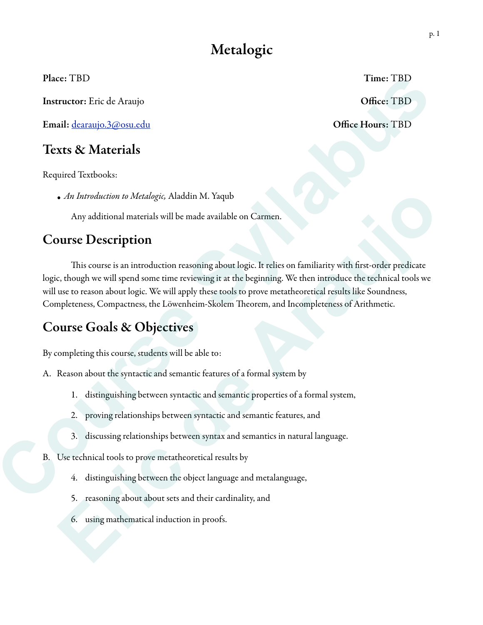## Metalogic

Instructor: Eric de Araujo **Office: TBD** 

Email: [dearaujo.3@osu.edu](mailto:dearaujo.3@osu.edu) Office Hours: TBD

#### Texts & Materials

Required Textbooks:

*• An Introduction to Metalogic,* Aladdin M. Yaqub

Any additional materials will be made available on Carmen.

#### Course Description

This course is an introduction reasoning about logic. It relies on familiarity with first-order predicate logic, though we will spend some time reviewing it at the beginning. We then introduce the technical tools we will use to reason about logic. We will apply these tools to prove metatheoretical results like Soundness, Completeness, Compactness, the Löwenheim-Skolem Theorem, and Incompleteness of Arithmetic. Time: TBD<br> **Syllabus Chief Example 19**<br> **Syllabus Chief Example 19**<br> **Syllabus and a validable on Carmen.**<br> **Syllabus and a validable on Carmen.**<br> **Syllabus 1998**<br> **Syllabus 2009**<br> **Syllabus 2009**<br> **Syllabus 2009**<br> **Syllab** • An Introduction to Metadogic, Aladdin M. Yaqub<br>
Any additional materials will be made available on Carmen.<br> **Eric de Araugh we will spend some time reviewing it at the beginning.** We then introduce the technical tools we

# Course Goals & Objectives Course Goals & Objectives<br>
By completing this course, students will be able to:<br>
A. Reason about the syntactic and semantic featu<br>
1. distinguishing between syntactic and semantic featu<br>
1. distinguishing between syntactic

By completing this course, students will be able to:

- A. Reason about the syntactic and semantic features of a formal system by
	- 1. distinguishing between syntactic and semantic properties of a formal system,
	- 2. proving relationships between syntactic and semantic features, and
	- 3. discussing relationships between syntax and semantics in natural language.
- B. Use technical tools to prove metatheoretical results by
	- 4. distinguishing between the object language and metalanguage,
	- 5. reasoning about about sets and their cardinality, and
	- 6. using mathematical induction in proofs.

Place: TBD Time: TBD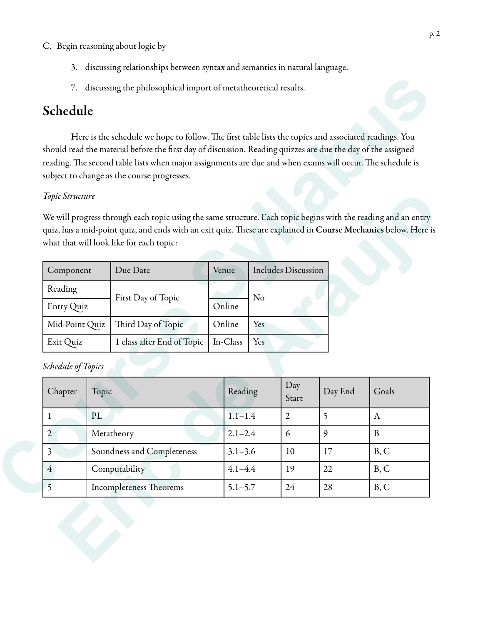- 3. discussing relationships between syntax and semantics in natural language.
- 7. discussing the philosophical import of metatheoretical results.

### Schedule

Here is the schedule we hope to follow. The first table lists the topics and associated readings. You should read the material before the first day of discussion. Reading quizzes are due the day of the assigned reading. The second table lists when major assignments are due and when exams will occur. The schedule is subject to change as the course progresses. import of metatheoretical results.<br>
follow. The first table lists the topics and associated readings. You<br>
day of discussion. Reading quizzes are due the day of the assigned<br>
or assignments are due and when exams will occu

#### *Topic Structure*

| Component      | Due Date                   | Venue    | <b>Includes Discussion</b> |
|----------------|----------------------------|----------|----------------------------|
| Reading        | First Day of Topic         |          | $\rm No$                   |
| Entry Quiz     |                            | Online   |                            |
| Mid-Point Quiz | Third Day of Topic         | Online   | Yes                        |
| Exit Quiz      | 1 class after End of Topic | In-Class | Yes                        |

| Component                              | Due Date                   |  | Venue       |                | <b>Includes Discussion</b> |         |              |
|----------------------------------------|----------------------------|--|-------------|----------------|----------------------------|---------|--------------|
| Reading<br>Entry Quiz                  | First Day of Topic         |  | Online      | N <sub>o</sub> |                            |         |              |
| Mid-Point Quiz                         | Third Day of Topic         |  | Online      | Yes            |                            |         |              |
| Exit Quiz                              | 1 class after End of Topic |  | In-Class    | Yes            |                            |         |              |
| Schedule of Topics<br>Chapter<br>Topic |                            |  | Reading     |                | Day<br>Start               | Day End | Goals        |
| PL<br>$\mathbf{1}$                     |                            |  | $1.1 - 1.4$ |                | $\overline{2}$             | 5       | $\mathbf{A}$ |
| $\overline{2}$                         | Metatheory                 |  | $2.1 - 2.4$ |                | 6                          | 9       | $\, {\bf B}$ |
| 3                                      | Soundness and Completeness |  | $3.1 - 3.6$ |                | 10                         | 17      | B, C         |
| $\overline{4}$                         | Computability              |  | $4.1 - 4.4$ |                | 19                         | 22      | B, C         |
| 5                                      | Incompleteness Theorems    |  | $5.1 - 5.7$ |                | 24                         | 28      | B, C         |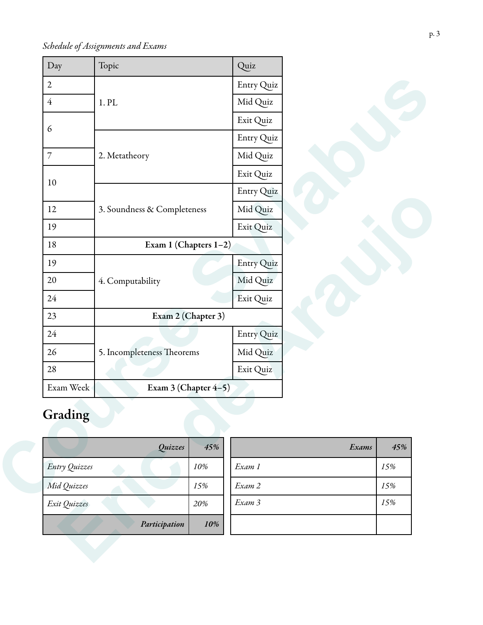*Schedule of Assignments and Exams*

| Day            | Topic                       |                    | Quiz       |       |     |
|----------------|-----------------------------|--------------------|------------|-------|-----|
| $\overline{2}$ |                             |                    | Entry Quiz |       |     |
| $\overline{4}$ | 1. PL                       |                    | Mid Quiz   |       |     |
| 6              |                             |                    | Exit Quiz  |       |     |
|                |                             |                    | Entry Quiz |       |     |
| 7              | 2. Metatheory               |                    | Mid Quiz   |       |     |
| 10             |                             |                    | Exit Quiz  |       |     |
|                |                             |                    | Entry Quiz |       |     |
| 12             | 3. Soundness & Completeness |                    | Mid Quiz   |       |     |
| 19             |                             |                    | Exit Quiz  |       |     |
| 18             | Exam 1 (Chapters 1-2)       |                    |            |       |     |
| 19             |                             |                    | Entry Quiz |       |     |
| 20             | 4. Computability            |                    | Mid Quiz   |       |     |
| 24             |                             |                    | Exit Quiz  |       |     |
| 23             |                             | Exam 2 (Chapter 3) |            |       |     |
| 24             |                             |                    | Entry Quiz |       |     |
| 26             | 5. Incompleteness Theorems  |                    | Mid Quiz   |       |     |
| 28             |                             |                    | Exit Quiz  |       |     |
| Exam Week      | Exam 3 (Chapter 4-5)        |                    |            |       |     |
| Grading        | Quizzes                     | 45%                |            | Exams | 45% |
| Entry Quizzes  |                             | 10%                | Exam 1     |       | 15% |
| Mid Quizzes    |                             | 15%                | Exam 2     |       | 15% |
|                |                             | 20%                | Exam 3     |       | 15% |
| Exit Quizzes   |                             |                    |            |       |     |

# Grading

| Quizzes              | 45% | Exams  | $\overline{4}$ |
|----------------------|-----|--------|----------------|
| <b>Entry Quizzes</b> | 10% | Exam 1 | 15%            |
| Mid Quizzes          | 15% | Exam 2 | 15%            |
| Exit Quizzes         | 20% | Exam 3 | 15%            |
| Participation        | 10% |        |                |

| Quizzes  | 45% | Exams  | 45% |
|----------|-----|--------|-----|
|          | 10% | Exam 1 | 15% |
|          | 15% | Exam 2 | 15% |
|          | 20% | Exam 3 | 15% |
| cipation | 10% |        |     |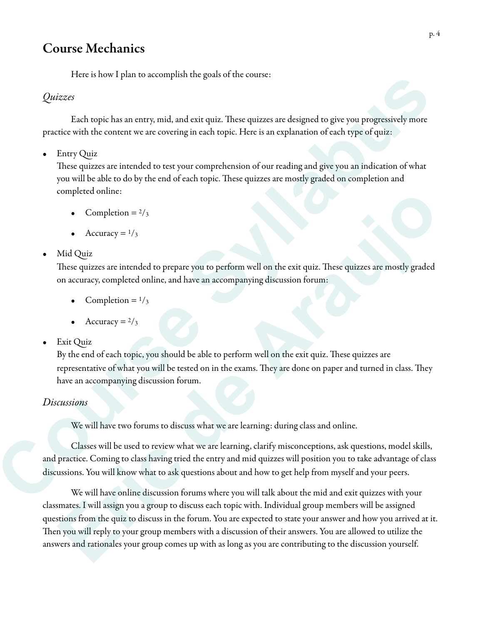#### Course Mechanics

Here is how I plan to accomplish the goals of the course:

#### *Quizzes*

Each topic has an entry, mid, and exit quiz. These quizzes are designed to give you progressively more practice with the content we are covering in each topic. Here is an explanation of each type of quiz:

• Entry Quiz

These quizzes are intended to test your comprehension of our reading and give you an indication of what you will be able to do by the end of each topic. These quizzes are mostly graded on completion and completed online:

- Completion =  $2/3$
- Accuracy  $=$   $\frac{1}{3}$

#### • Mid Quiz

These quizzes are intended to prepare you to perform well on the exit quiz. These quizzes are mostly graded on accuracy, completed online, and have an accompanying discussion forum:

- Completion =  $1/3$
- Accuracy  $= 2/3$
- Exit Quiz

By the end of each topic, you should be able to perform well on the exit quiz. These quizzes are representative of what you will be tested on in the exams. They are done on paper and turned in class. They have an accompanying discussion forum.

#### *Discussions*

We will have two forums to discuss what we are learning: during class and online.

 Classes will be used to review what we are learning, clarify misconceptions, ask questions, model skills, and practice. Coming to class having tried the entry and mid quizzes will position you to take advantage of class discussions. You will know what to ask questions about and how to get help from myself and your peers. Triets in 100° 1 pixit to accompassion of extent course:<br>
Track any pixit are according in each topic. These quizes are designed to give you progressively more<br>
practice with the content we are covering in each topic. Here

 We will have online discussion forums where you will talk about the mid and exit quizzes with your classmates. I will assign you a group to discuss each topic with. Individual group members will be assigned questions from the quiz to discuss in the forum. You are expected to state your answer and how you arrived at it. Then you will reply to your group members with a discussion of their answers. You are allowed to utilize the answers and rationales your group comes up with as long as you are contributing to the discussion yourself. • Completion =  $1/\sqrt{2}$ <br>• Completion =  $1/\sqrt{2}$ <br>• Accuracy =  $1/\sqrt{2}$ <br>This Quiz<br>**Eric quizes are invended to prepare you to perform well on the exit quiz. These quizes are mostly graded<br>Inventoring an accompanies on accom**